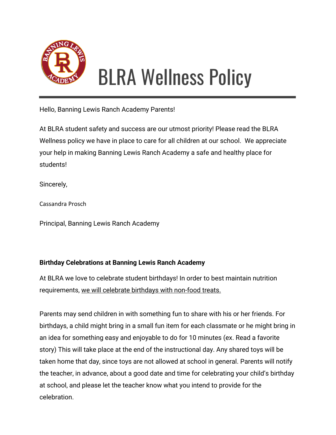

# BLRA Wellness Policy

Hello, Banning Lewis Ranch Academy Parents!

At BLRA student safety and success are our utmost priority! Please read the BLRA Wellness policy we have in place to care for all children at our school. We appreciate your help in making Banning Lewis Ranch Academy a safe and healthy place for students!

Sincerely,

Cassandra Prosch

Principal, Banning Lewis Ranch Academy

## **Birthday Celebrations at Banning Lewis Ranch Academy**

At BLRA we love to celebrate student birthdays! In order to best maintain nutrition requirements, we will celebrate birthdays with non-food treats.

Parents may send children in with something fun to share with his or her friends. For birthdays, a child might bring in a small fun item for each classmate or he might bring in an idea for something easy and enjoyable to do for 10 minutes (ex. Read a favorite story) This will take place at the end of the instructional day. Any shared toys will be taken home that day, since toys are not allowed at school in general. Parents will notify the teacher, in advance, about a good date and time for celebrating your child's birthday at school, and please let the teacher know what you intend to provide for the celebration.